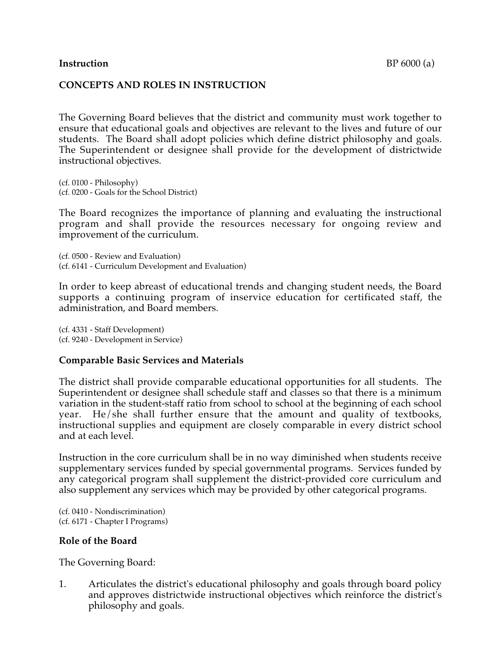### **Instruction** BP 6000 (a)

## **CONCEPTS AND ROLES IN INSTRUCTION**

The Governing Board believes that the district and community must work together to ensure that educational goals and objectives are relevant to the lives and future of our students. The Board shall adopt policies which define district philosophy and goals. The Superintendent or designee shall provide for the development of districtwide instructional objectives.

(cf. 0100 - Philosophy) (cf. 0200 - Goals for the School District)

The Board recognizes the importance of planning and evaluating the instructional program and shall provide the resources necessary for ongoing review and improvement of the curriculum.

(cf. 0500 - Review and Evaluation) (cf. 6141 - Curriculum Development and Evaluation)

In order to keep abreast of educational trends and changing student needs, the Board supports a continuing program of inservice education for certificated staff, the administration, and Board members.

(cf. 4331 - Staff Development) (cf. 9240 - Development in Service)

## **Comparable Basic Services and Materials**

The district shall provide comparable educational opportunities for all students. The Superintendent or designee shall schedule staff and classes so that there is a minimum variation in the student-staff ratio from school to school at the beginning of each school year. He/she shall further ensure that the amount and quality of textbooks, instructional supplies and equipment are closely comparable in every district school and at each level.

Instruction in the core curriculum shall be in no way diminished when students receive supplementary services funded by special governmental programs. Services funded by any categorical program shall supplement the district-provided core curriculum and also supplement any services which may be provided by other categorical programs.

(cf. 0410 - Nondiscrimination) (cf. 6171 - Chapter I Programs)

#### **Role of the Board**

The Governing Board:

1. Articulates the district's educational philosophy and goals through board policy and approves districtwide instructional objectives which reinforce the district's philosophy and goals.